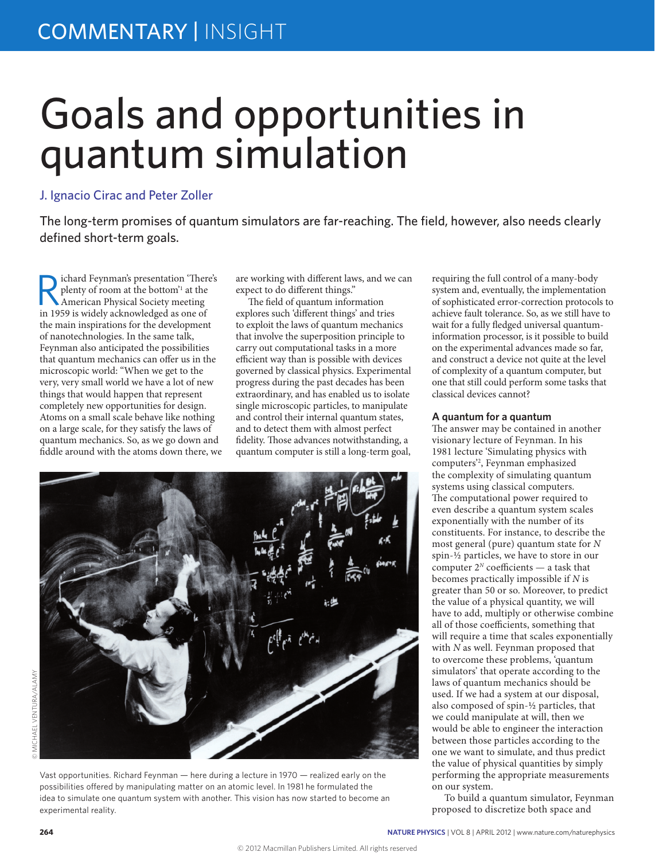# Goals and opportunities in quantum simulation

## J. Ignacio Cirac and Peter Zoller

The long-term promises of quantum simulators are far-reaching. The field, however, also needs clearly defined short-term goals.

Fichard Feynman's presentation "There's<br>plenty of room at the bottom" at the<br>American Physical Society meeting<br>in 1959 is widely acknowledged as one of plenty of room at the bottom'1 at the American Physical Society meeting in 1959 is widely acknowledged as one of the main inspirations for the development of nanotechnologies. In the same talk, Feynman also anticipated the possibilities that quantum mechanics can offer us in the microscopic world: "When we get to the very, very small world we have a lot of new things that would happen that represent completely new opportunities for design. Atoms on a small scale behave like nothing on a large scale, for they satisfy the laws of quantum mechanics. So, as we go down and fiddle around with the atoms down there, we

are working with different laws, and we can expect to do different things."

The field of quantum information explores such 'different things' and tries to exploit the laws of quantum mechanics that involve the superposition principle to carry out computational tasks in a more efficient way than is possible with devices governed by classical physics. Experimental progress during the past decades has been extraordinary, and has enabled us to isolate single microscopic particles, to manipulate and control their internal quantum states, and to detect them with almost perfect fidelity. Those advances notwithstanding, a quantum computer is still a long-term goal,



Vast opportunities. Richard Feynman — here during a lecture in 1970 — realized early on the possibilities offered by manipulating matter on an atomic level. In 1981 he formulated the idea to simulate one quantum system with another. This vision has now started to become an experimental reality.

requiring the full control of a many-body system and, eventually, the implementation of sophisticated error-correction protocols to achieve fault tolerance. So, as we still have to wait for a fully fledged universal quantuminformation processor, is it possible to build on the experimental advances made so far, and construct a device not quite at the level of complexity of a quantum computer, but one that still could perform some tasks that classical devices cannot?

#### **A quantum for a quantum**

The answer may be contained in another visionary lecture of Feynman. In his 1981 lecture 'Simulating physics with computers'2 , Feynman emphasized the complexity of simulating quantum systems using classical computers. The computational power required to even describe a quantum system scales exponentially with the number of its constituents. For instance, to describe the most general (pure) quantum state for *N* spin-½ particles, we have to store in our computer 2*<sup>N</sup>* coefficients — a task that becomes practically impossible if *N* is greater than 50 or so. Moreover, to predict the value of a physical quantity, we will have to add, multiply or otherwise combine all of those coefficients, something that will require a time that scales exponentially with *N* as well. Feynman proposed that to overcome these problems, 'quantum simulators' that operate according to the laws of quantum mechanics should be used. If we had a system at our disposal, also composed of spin-½ particles, that we could manipulate at will, then we would be able to engineer the interaction between those particles according to the one we want to simulate, and thus predict the value of physical quantities by simply performing the appropriate measurements on our system.

To build a quantum simulator, Feynman proposed to discretize both space and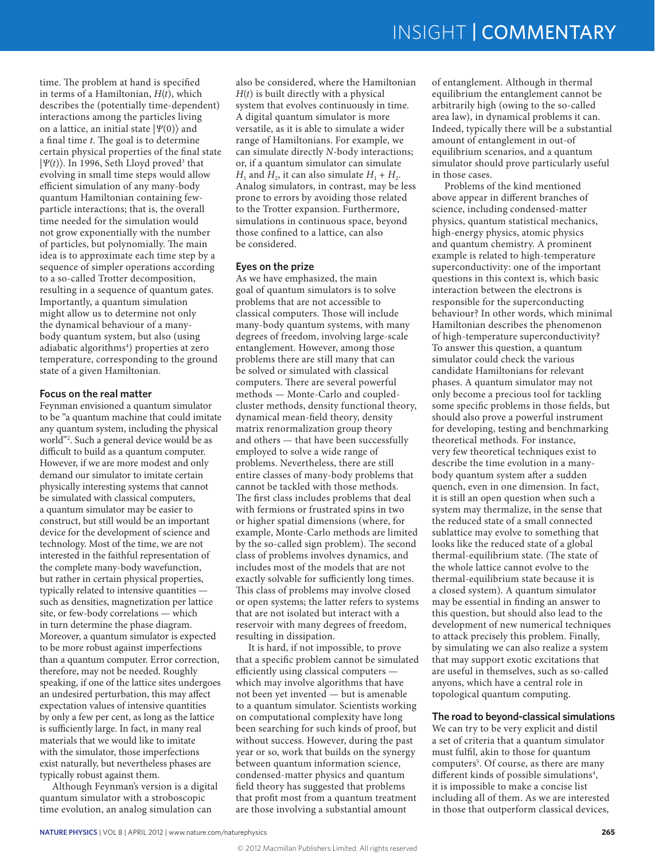time. The problem at hand is specified in terms of a Hamiltonian, *H*(*t*), which describes the (potentially time-dependent) interactions among the particles living on a lattice, an initial state |*Ψ*(0)〉 and a final time *t*. The goal is to determine certain physical properties of the final state  $|\Psi(t)\rangle$ . In 1996, Seth Lloyd proved<sup>3</sup> that evolving in small time steps would allow efficient simulation of any many-body quantum Hamiltonian containing fewparticle interactions; that is, the overall time needed for the simulation would not grow exponentially with the number of particles, but polynomially. The main idea is to approximate each time step by a sequence of simpler operations according to a so-called Trotter decomposition, resulting in a sequence of quantum gates. Importantly, a quantum simulation might allow us to determine not only the dynamical behaviour of a manybody quantum system, but also (using adiabatic algorithms<sup>4</sup>) properties at zero temperature, corresponding to the ground state of a given Hamiltonian.

#### **Focus on the real matter**

Feynman envisioned a quantum simulator to be "a quantum machine that could imitate any quantum system, including the physical world"2 . Such a general device would be as difficult to build as a quantum computer. However, if we are more modest and only demand our simulator to imitate certain physically interesting systems that cannot be simulated with classical computers, a quantum simulator may be easier to construct, but still would be an important device for the development of science and technology. Most of the time, we are not interested in the faithful representation of the complete many-body wavefunction, but rather in certain physical properties, typically related to intensive quantities such as densities, magnetization per lattice site, or few-body correlations — which in turn determine the phase diagram. Moreover, a quantum simulator is expected to be more robust against imperfections than a quantum computer. Error correction, therefore, may not be needed. Roughly speaking, if one of the lattice sites undergoes an undesired perturbation, this may affect expectation values of intensive quantities by only a few per cent, as long as the lattice is sufficiently large. In fact, in many real materials that we would like to imitate with the simulator, those imperfections exist naturally, but nevertheless phases are typically robust against them.

Although Feynman's version is a digital quantum simulator with a stroboscopic time evolution, an analog simulation can

also be considered, where the Hamiltonian *H*(*t*) is built directly with a physical system that evolves continuously in time. A digital quantum simulator is more versatile, as it is able to simulate a wider range of Hamiltonians. For example, we can simulate directly *N*-body interactions; or, if a quantum simulator can simulate *H*<sub>1</sub> and *H*<sub>2</sub>, it can also simulate  $H_1 + H_2$ . Analog simulators, in contrast, may be less prone to errors by avoiding those related to the Trotter expansion. Furthermore, simulations in continuous space, beyond those confined to a lattice, can also be considered.

#### **Eyes on the prize**

As we have emphasized, the main goal of quantum simulators is to solve problems that are not accessible to classical computers. Those will include many-body quantum systems, with many degrees of freedom, involving large-scale entanglement. However, among those problems there are still many that can be solved or simulated with classical computers. There are several powerful methods — Monte-Carlo and coupledcluster methods, density functional theory, dynamical mean-field theory, density matrix renormalization group theory and others — that have been successfully employed to solve a wide range of problems. Nevertheless, there are still entire classes of many-body problems that cannot be tackled with those methods. The first class includes problems that deal with fermions or frustrated spins in two or higher spatial dimensions (where, for example, Monte-Carlo methods are limited by the so-called sign problem). The second class of problems involves dynamics, and includes most of the models that are not exactly solvable for sufficiently long times. This class of problems may involve closed or open systems; the latter refers to systems that are not isolated but interact with a reservoir with many degrees of freedom, resulting in dissipation.

It is hard, if not impossible, to prove that a specific problem cannot be simulated efficiently using classical computers which may involve algorithms that have not been yet invented — but is amenable to a quantum simulator. Scientists working on computational complexity have long been searching for such kinds of proof, but without success. However, during the past year or so, work that builds on the synergy between quantum information science, condensed-matter physics and quantum field theory has suggested that problems that profit most from a quantum treatment are those involving a substantial amount

of entanglement. Although in thermal equilibrium the entanglement cannot be arbitrarily high (owing to the so-called area law), in dynamical problems it can. Indeed, typically there will be a substantial amount of entanglement in out-of equilibrium scenarios, and a quantum simulator should prove particularly useful in those cases.

Problems of the kind mentioned above appear in different branches of science, including condensed-matter physics, quantum statistical mechanics, high-energy physics, atomic physics and quantum chemistry. A prominent example is related to high-temperature superconductivity: one of the important questions in this context is, which basic interaction between the electrons is responsible for the superconducting behaviour? In other words, which minimal Hamiltonian describes the phenomenon of high-temperature superconductivity? To answer this question, a quantum simulator could check the various candidate Hamiltonians for relevant phases. A quantum simulator may not only become a precious tool for tackling some specific problems in those fields, but should also prove a powerful instrument for developing, testing and benchmarking theoretical methods. For instance, very few theoretical techniques exist to describe the time evolution in a manybody quantum system after a sudden quench, even in one dimension. In fact, it is still an open question when such a system may thermalize, in the sense that the reduced state of a small connected sublattice may evolve to something that looks like the reduced state of a global thermal-equilibrium state. (The state of the whole lattice cannot evolve to the thermal-equilibrium state because it is a closed system). A quantum simulator may be essential in finding an answer to this question, but should also lead to the development of new numerical techniques to attack precisely this problem. Finally, by simulating we can also realize a system that may support exotic excitations that are useful in themselves, such as so-called anyons, which have a central role in topological quantum computing.

### **The road to beyond-classical simulations**

We can try to be very explicit and distil a set of criteria that a quantum simulator must fulfil, akin to those for quantum computers<sup>5</sup>. Of course, as there are many different kinds of possible simulations<sup>4</sup>, it is impossible to make a concise list including all of them. As we are interested in those that outperform classical devices,